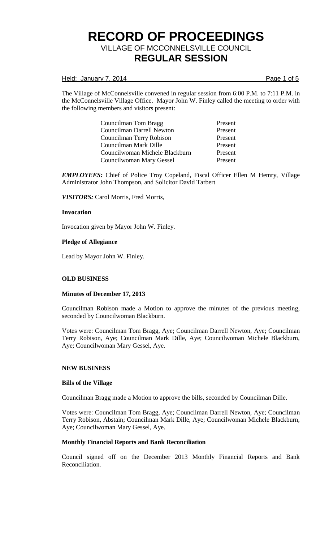Held: January 7, 2014 **Page 1 of 5** 

The Village of McConnelsville convened in regular session from 6:00 P.M. to 7:11 P.M. in the McConnelsville Village Office. Mayor John W. Finley called the meeting to order with the following members and visitors present:

> Councilman Tom Bragg Present Councilman Darrell Newton Present Councilman Terry Robison Present Councilman Mark Dille Present Councilwoman Michele Blackburn Present Councilwoman Mary Gessel Present

*EMPLOYEES:* Chief of Police Troy Copeland, Fiscal Officer Ellen M Hemry, Village Administrator John Thompson, and Solicitor David Tarbert

*VISITORS:* Carol Morris, Fred Morris,

### **Invocation**

Invocation given by Mayor John W. Finley.

### **Pledge of Allegiance**

Lead by Mayor John W. Finley.

## **OLD BUSINESS**

#### **Minutes of December 17, 2013**

Councilman Robison made a Motion to approve the minutes of the previous meeting, seconded by Councilwoman Blackburn.

Votes were: Councilman Tom Bragg, Aye; Councilman Darrell Newton, Aye; Councilman Terry Robison, Aye; Councilman Mark Dille, Aye; Councilwoman Michele Blackburn, Aye; Councilwoman Mary Gessel, Aye.

#### **NEW BUSINESS**

#### **Bills of the Village**

Councilman Bragg made a Motion to approve the bills, seconded by Councilman Dille.

Votes were: Councilman Tom Bragg, Aye; Councilman Darrell Newton, Aye; Councilman Terry Robison, Abstain; Councilman Mark Dille, Aye; Councilwoman Michele Blackburn, Aye; Councilwoman Mary Gessel, Aye.

## **Monthly Financial Reports and Bank Reconciliation**

Council signed off on the December 2013 Monthly Financial Reports and Bank Reconciliation.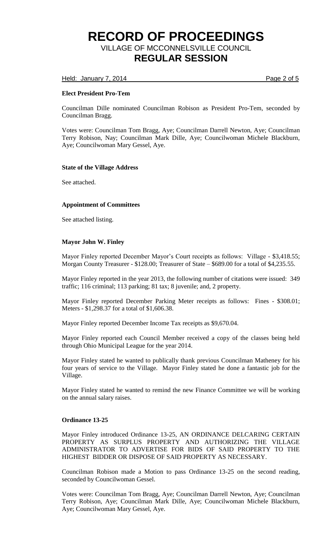Held: January 7, 2014 **Page 2 of 5** 

## **Elect President Pro-Tem**

Councilman Dille nominated Councilman Robison as President Pro-Tem, seconded by Councilman Bragg.

Votes were: Councilman Tom Bragg, Aye; Councilman Darrell Newton, Aye; Councilman Terry Robison, Nay; Councilman Mark Dille, Aye; Councilwoman Michele Blackburn, Aye; Councilwoman Mary Gessel, Aye.

### **State of the Village Address**

See attached.

## **Appointment of Committees**

See attached listing.

### **Mayor John W. Finley**

Mayor Finley reported December Mayor's Court receipts as follows: Village - \$3,418.55; Morgan County Treasurer - \$128.00; Treasurer of State – \$689.00 for a total of \$4,235.55.

Mayor Finley reported in the year 2013, the following number of citations were issued: 349 traffic; 116 criminal; 113 parking; 81 tax; 8 juvenile; and, 2 property.

Mayor Finley reported December Parking Meter receipts as follows: Fines - \$308.01; Meters - \$1,298.37 for a total of \$1,606.38.

Mayor Finley reported December Income Tax receipts as \$9,670.04.

Mayor Finley reported each Council Member received a copy of the classes being held through Ohio Municipal League for the year 2014.

Mayor Finley stated he wanted to publically thank previous Councilman Matheney for his four years of service to the Village. Mayor Finley stated he done a fantastic job for the Village.

Mayor Finley stated he wanted to remind the new Finance Committee we will be working on the annual salary raises.

#### **Ordinance 13-25**

Mayor Finley introduced Ordinance 13-25, AN ORDINANCE DELCARING CERTAIN PROPERTY AS SURPLUS PROPERTY AND AUTHORIZING THE VILLAGE ADMINISTRATOR TO ADVERTISE FOR BIDS OF SAID PROPERTY TO THE HIGHEST BIDDER OR DISPOSE OF SAID PROPERTY AS NECESSARY.

Councilman Robison made a Motion to pass Ordinance 13-25 on the second reading, seconded by Councilwoman Gessel.

Votes were: Councilman Tom Bragg, Aye; Councilman Darrell Newton, Aye; Councilman Terry Robison, Aye; Councilman Mark Dille, Aye; Councilwoman Michele Blackburn, Aye; Councilwoman Mary Gessel, Aye.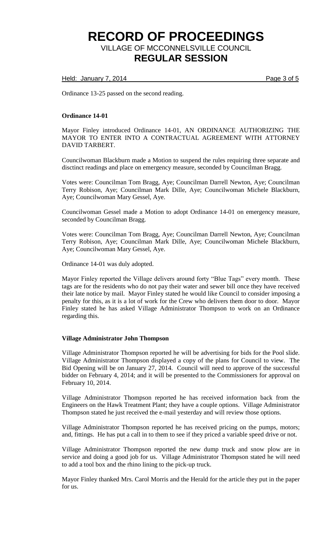Held: January 7, 2014 **Page 3 of 5** 

Ordinance 13-25 passed on the second reading.

### **Ordinance 14-01**

Mayor Finley introduced Ordinance 14-01, AN ORDINANCE AUTHORIZING THE MAYOR TO ENTER INTO A CONTRACTUAL AGREEMENT WITH ATTORNEY DAVID TARBERT.

Councilwoman Blackburn made a Motion to suspend the rules requiring three separate and disctinct readings and place on emergency measure, seconded by Councilman Bragg.

Votes were: Councilman Tom Bragg, Aye; Councilman Darrell Newton, Aye; Councilman Terry Robison, Aye; Councilman Mark Dille, Aye; Councilwoman Michele Blackburn, Aye; Councilwoman Mary Gessel, Aye.

Councilwoman Gessel made a Motion to adopt Ordinance 14-01 on emergency measure, seconded by Councilman Bragg.

Votes were: Councilman Tom Bragg, Aye; Councilman Darrell Newton, Aye; Councilman Terry Robison, Aye; Councilman Mark Dille, Aye; Councilwoman Michele Blackburn, Aye; Councilwoman Mary Gessel, Aye.

Ordinance 14-01 was duly adopted.

Mayor Finley reported the Village delivers around forty "Blue Tags" every month. These tags are for the residents who do not pay their water and sewer bill once they have received their late notice by mail. Mayor Finley stated he would like Council to consider imposing a penalty for this, as it is a lot of work for the Crew who delivers them door to door. Mayor Finley stated he has asked Village Administrator Thompson to work on an Ordinance regarding this.

#### **Village Administrator John Thompson**

Village Administrator Thompson reported he will be advertising for bids for the Pool slide. Village Administrator Thompson displayed a copy of the plans for Council to view. The Bid Opening will be on January 27, 2014. Council will need to approve of the successful bidder on February 4, 2014; and it will be presented to the Commissioners for approval on February 10, 2014.

Village Administrator Thompson reported he has received information back from the Engineers on the Hawk Treatment Plant; they have a couple options. Village Administrator Thompson stated he just received the e-mail yesterday and will review those options.

Village Administrator Thompson reported he has received pricing on the pumps, motors; and, fittings. He has put a call in to them to see if they priced a variable speed drive or not.

Village Administrator Thompson reported the new dump truck and snow plow are in service and doing a good job for us. Village Administrator Thompson stated he will need to add a tool box and the rhino lining to the pick-up truck.

Mayor Finley thanked Mrs. Carol Morris and the Herald for the article they put in the paper for us.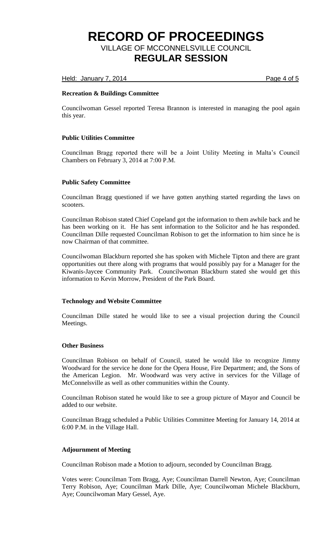Held: January 7, 2014 **Page 4 of 5** 

## **Recreation & Buildings Committee**

Councilwoman Gessel reported Teresa Brannon is interested in managing the pool again this year.

## **Public Utilities Committee**

Councilman Bragg reported there will be a Joint Utility Meeting in Malta's Council Chambers on February 3, 2014 at 7:00 P.M.

## **Public Safety Committee**

Councilman Bragg questioned if we have gotten anything started regarding the laws on scooters.

Councilman Robison stated Chief Copeland got the information to them awhile back and he has been working on it. He has sent information to the Solicitor and he has responded. Councilman Dille requested Councilman Robison to get the information to him since he is now Chairman of that committee.

Councilwoman Blackburn reported she has spoken with Michele Tipton and there are grant opportunities out there along with programs that would possibly pay for a Manager for the Kiwanis-Jaycee Community Park. Councilwoman Blackburn stated she would get this information to Kevin Morrow, President of the Park Board.

## **Technology and Website Committee**

Councilman Dille stated he would like to see a visual projection during the Council Meetings.

#### **Other Business**

Councilman Robison on behalf of Council, stated he would like to recognize Jimmy Woodward for the service he done for the Opera House, Fire Department; and, the Sons of the American Legion. Mr. Woodward was very active in services for the Village of McConnelsville as well as other communities within the County.

Councilman Robison stated he would like to see a group picture of Mayor and Council be added to our website.

Councilman Bragg scheduled a Public Utilities Committee Meeting for January 14, 2014 at 6:00 P.M. in the Village Hall.

#### **Adjournment of Meeting**

Councilman Robison made a Motion to adjourn, seconded by Councilman Bragg.

Votes were: Councilman Tom Bragg, Aye; Councilman Darrell Newton, Aye; Councilman Terry Robison, Aye; Councilman Mark Dille, Aye; Councilwoman Michele Blackburn, Aye; Councilwoman Mary Gessel, Aye.